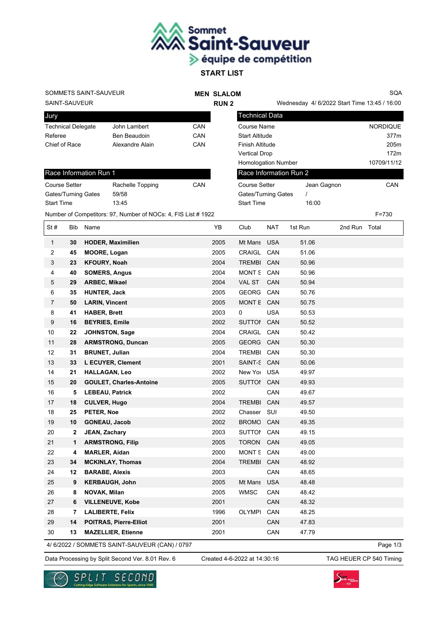

## SOMMETS SAINT-SAUVEUR

## **MEN SLALOM RUN 2**

Wednesday 4/ 6/2022 Start Time 13:45 / 16:00

SQA

┑

SAINT-SAUVEUR

Jury

| <b>PULLY</b>              |                 |     |
|---------------------------|-----------------|-----|
| <b>Technical Delegate</b> | John Lambert    | CAN |
| Referee                   | Ben Beaudoin    | CAN |
| Chief of Race             | Alexandre Alain | CAN |
|                           |                 |     |

| Race Information Run 1 |                  |     |  |  |  |
|------------------------|------------------|-----|--|--|--|
| <b>Course Setter</b>   | Rachelle Topping | CAN |  |  |  |
| Gates/Turning Gates    | 59/58            |     |  |  |  |
| <b>Start Time</b>      | 13.45            |     |  |  |  |

| Technical Data             |             |                 |
|----------------------------|-------------|-----------------|
| <b>Course Name</b>         |             | <b>NORDIQUE</b> |
| <b>Start Altitude</b>      |             | 377m            |
| <b>Finish Altitude</b>     |             | 205m            |
| <b>Vertical Drop</b>       |             | 172m            |
| <b>Homologation Number</b> |             | 10709/11/12     |
| Race Information Run 2     |             |                 |
| <b>Course Setter</b>       | Jean Gagnon | CAN             |
| Gates/Turning Gates        |             |                 |
|                            |             |                 |

Start Time 16:00

Number of Competitors: 97, Number of NOCs: 4, FIS List # 1922 F=730

| St#            | Bib          | Name                           | YΒ   | Club          | NAT        | 1st Run | 2nd Run Total |
|----------------|--------------|--------------------------------|------|---------------|------------|---------|---------------|
| $\mathbf{1}$   | 30           | <b>HODER, Maximilien</b>       | 2005 | Mt Mans       | <b>USA</b> | 51.06   |               |
| 2              | 45           | <b>MOORE, Logan</b>            | 2005 | CRAIGL        | CAN        | 51.06   |               |
| 3              | 23           | <b>KFOURY, Noah</b>            | 2004 | <b>TREMBI</b> | CAN        | 50.96   |               |
| 4              | 40           | <b>SOMERS, Angus</b>           | 2004 | <b>MONT S</b> | CAN        | 50.96   |               |
| 5              | 29           | ARBEC, Mikael                  | 2004 | <b>VAL ST</b> | CAN        | 50.94   |               |
| 6              | 35           | <b>HUNTER, Jack</b>            | 2005 | <b>GEORG</b>  | CAN        | 50.76   |               |
| $\overline{7}$ | 50           | <b>LARIN, Vincent</b>          | 2005 | MONT E CAN    |            | 50.75   |               |
| 8              | 41           | <b>HABER, Brett</b>            | 2003 | 0             | <b>USA</b> | 50.53   |               |
| 9              | 16           | <b>BEYRIES, Emile</b>          | 2002 | <b>SUTTOI</b> | CAN        | 50.52   |               |
| 10             | 22           | <b>JOHNSTON, Sage</b>          | 2004 | CRAIGL        | CAN        | 50.42   |               |
| 11             | 28           | <b>ARMSTRONG, Duncan</b>       | 2005 | GEORG CAN     |            | 50.30   |               |
| 12             | 31           | <b>BRUNET, Julian</b>          | 2004 | <b>TREMBI</b> | CAN        | 50.30   |               |
| 13             | 33           | L ECUYER, Clement              | 2001 | SAINT-S       | CAN        | 50.06   |               |
| 14             | 21           | <b>HALLAGAN, Leo</b>           | 2002 | New Yol USA   |            | 49.97   |               |
| 15             | 20           | <b>GOULET, Charles-Antoine</b> | 2005 | SUTTOI CAN    |            | 49.93   |               |
| 16             | 5            | <b>LEBEAU, Patrick</b>         | 2002 |               | CAN        | 49.67   |               |
| 17             | 18           | <b>CULVER, Hugo</b>            | 2004 | <b>TREMBI</b> | CAN        | 49.57   |               |
| 18             | 25           | PETER, Noe                     | 2002 | Chasser       | SUI        | 49.50   |               |
| 19             | 10           | <b>GONEAU, Jacob</b>           | 2002 | <b>BROMC</b>  | CAN        | 49.35   |               |
| 20             | $\mathbf{2}$ | JEAN, Zachary                  | 2003 | SUTTOI CAN    |            | 49.15   |               |
| 21             | 1            | <b>ARMSTRONG, Filip</b>        | 2005 | <b>TORON</b>  | <b>CAN</b> | 49.05   |               |
| 22             | 4            | <b>MARLER, Aidan</b>           | 2000 | MONT S        | CAN        | 49.00   |               |
| 23             | 34           | <b>MCKINLAY, Thomas</b>        | 2004 | <b>TREMBI</b> | CAN        | 48.92   |               |
| 24             | 12           | <b>BARABE, Alexis</b>          | 2003 |               | CAN        | 48.65   |               |
| 25             | 9            | <b>KERBAUGH, John</b>          | 2005 | Mt Mans       | <b>USA</b> | 48.48   |               |
| 26             | 8            | NOVAK, Milan                   | 2005 | <b>WMSC</b>   | CAN        | 48.42   |               |
| 27             | 6            | <b>VILLENEUVE, Kobe</b>        | 2001 |               | CAN        | 48.32   |               |
| 28             | 7            | <b>LALIBERTE, Felix</b>        | 1996 | <b>OLYMPI</b> | CAN        | 48.25   |               |
| 29             | 14           | <b>POITRAS, Pierre-Elliot</b>  | 2001 |               | CAN        | 47.83   |               |
| 30             | 13           | <b>MAZELLIER, Etienne</b>      | 2001 |               | CAN        | 47.79   |               |

4/ 6/2022 / SOMMETS SAINT-SAUVEUR (CAN) / 0797

Page 1/3

Data Processing by Split Second Ver. 8.01 Rev. 6 Created 4-6-2022 at 14:30:16 TAG HEUER CP 540 Timing

Created 4-6-2022 at 14:30:16



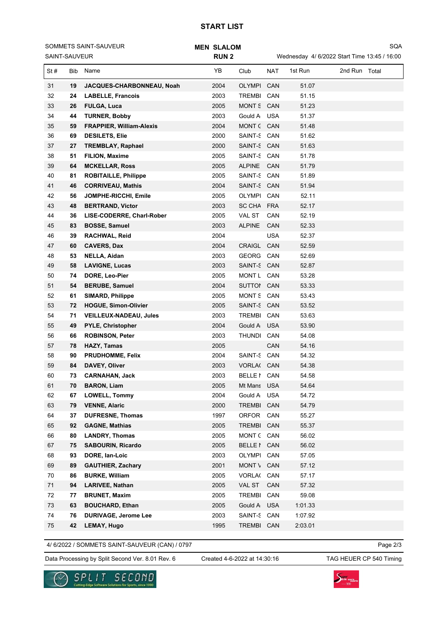## **START LIST**

| SOMMETS SAINT-SAUVEUR<br>SAINT-SAUVEUR |     | <b>MEN SLALOM</b><br><b>RUN2</b> |  |      | SQA<br>Wednesday 4/ 6/2022 Start Time 13:45 / 16:00 |            |         |               |  |
|----------------------------------------|-----|----------------------------------|--|------|-----------------------------------------------------|------------|---------|---------------|--|
| St#                                    | Bib | Name                             |  | YB   | Club                                                | <b>NAT</b> | 1st Run | 2nd Run Total |  |
| 31                                     | 19  | JACQUES-CHARBONNEAU, Noah        |  | 2004 | <b>OLYMPI</b>                                       | CAN        | 51.07   |               |  |
| 32                                     | 24  | <b>LABELLE, Francois</b>         |  | 2003 | <b>TREMBI</b>                                       | CAN        | 51.15   |               |  |
| 33                                     | 26  | <b>FULGA, Luca</b>               |  | 2005 | MONT S CAN                                          |            | 51.23   |               |  |
| 34                                     | 44  | <b>TURNER, Bobby</b>             |  | 2003 | Gould A                                             | <b>USA</b> | 51.37   |               |  |
| 35                                     | 59  | <b>FRAPPIER, William-Alexis</b>  |  | 2004 | MONT ( CAN                                          |            | 51.48   |               |  |
| 36                                     | 69  | <b>DESILETS, Elie</b>            |  | 2000 | SAINT-S CAN                                         |            | 51.62   |               |  |
| 37                                     | 27  | <b>TREMBLAY, Raphael</b>         |  | 2000 | SAINT-S CAN                                         |            | 51.63   |               |  |
| 38                                     | 51  | <b>FILION, Maxime</b>            |  | 2005 | SAINT-S CAN                                         |            | 51.78   |               |  |
| 39                                     | 64  | <b>MCKELLAR, Ross</b>            |  | 2005 | <b>ALPINE</b>                                       | CAN        | 51.79   |               |  |
| 40                                     | 81  | <b>ROBITAILLE, Philippe</b>      |  | 2005 | SAINT-S                                             | CAN        | 51.89   |               |  |
| 41                                     | 46  | <b>CORRIVEAU, Mathis</b>         |  | 2004 | SAINT-S CAN                                         |            | 51.94   |               |  |
| 42                                     | 56  | JOMPHE-RICCHI, Emile             |  | 2005 | <b>OLYMPI</b>                                       | CAN        | 52.11   |               |  |
| 43                                     | 48  | <b>BERTRAND, Victor</b>          |  | 2003 | <b>SC CHA</b>                                       | <b>FRA</b> | 52.17   |               |  |
| 44                                     | 36  | LISE-CODERRE, Charl-Rober        |  | 2005 | VAL ST                                              | CAN        | 52.19   |               |  |
| 45                                     | 83  | <b>BOSSE, Samuel</b>             |  | 2003 | <b>ALPINE</b>                                       | <b>CAN</b> | 52.33   |               |  |
| 46                                     | 39  | RACHWAL, Reid                    |  | 2004 |                                                     | <b>USA</b> | 52.37   |               |  |
| 47                                     | 60  | <b>CAVERS, Dax</b>               |  | 2004 | <b>CRAIGL</b>                                       | CAN        | 52.59   |               |  |
| 48                                     | 53  | NELLA, Aidan                     |  | 2003 | GEORG                                               | CAN        | 52.69   |               |  |
| 49                                     | 58  | <b>LAVIGNE, Lucas</b>            |  | 2003 | SAINT-S CAN                                         |            | 52.87   |               |  |
| 50                                     | 74  | DORE, Leo-Pier                   |  | 2005 | MONT L                                              | CAN        | 53.28   |               |  |
| 51                                     | 54  | <b>BERUBE, Samuel</b>            |  | 2004 | SUTTOI                                              | CAN        | 53.33   |               |  |
| 52                                     | 61  | <b>SIMARD, Philippe</b>          |  | 2005 | MONT S                                              | CAN        | 53.43   |               |  |
| 53                                     | 72  | <b>HOGUE, Simon-Olivier</b>      |  | 2005 | SAINT-S CAN                                         |            | 53.52   |               |  |
| 54                                     | 71  | <b>VEILLEUX-NADEAU, Jules</b>    |  | 2003 | <b>TREMBI</b>                                       | CAN        | 53.63   |               |  |
| 55                                     | 49  | <b>PYLE, Christopher</b>         |  | 2004 | Gould A                                             | <b>USA</b> | 53.90   |               |  |
| 56                                     | 66  | <b>ROBINSON, Peter</b>           |  | 2003 | <b>THUNDI</b>                                       | CAN        | 54.08   |               |  |
| 57                                     | 78  | <b>HAZY, Tamas</b>               |  | 2005 |                                                     | CAN        | 54.16   |               |  |
| 58                                     | 90  | <b>PRUDHOMME, Felix</b>          |  | 2004 | SAINT-S CAN                                         |            | 54.32   |               |  |
| 59                                     | 84  | DAVEY, Oliver                    |  | 2003 | VORLA( CAN                                          |            | 54.38   |               |  |
| 60                                     | 73  | <b>CARNAHAN, Jack</b>            |  | 2003 | <b>BELLE</b> I                                      | CAN        | 54.58   |               |  |
| 61                                     | 70  | <b>BARON, Liam</b>               |  | 2005 | Mt Mans                                             | <b>USA</b> | 54.64   |               |  |
| 62                                     | 67  | <b>LOWELL, Tommy</b>             |  | 2004 | Gould A                                             | <b>USA</b> | 54.72   |               |  |
| 63                                     | 79  | <b>VENNE, Alaric</b>             |  | 2000 | <b>TREMBI</b>                                       | CAN        | 54.79   |               |  |
| 64                                     | 37  | <b>DUFRESNE, Thomas</b>          |  | 1997 | ORFOR CAN                                           |            | 55.27   |               |  |
| 65                                     | 92  | <b>GAGNE, Mathias</b>            |  | 2005 | TREMBI CAN                                          |            | 55.37   |               |  |
| 66                                     | 80  | <b>LANDRY, Thomas</b>            |  | 2005 | MONT (CAN                                           |            | 56.02   |               |  |
| 67                                     | 75  | <b>SABOURIN, Ricardo</b>         |  | 2005 | <b>BELLE</b> I                                      | CAN        | 56.02   |               |  |
| 68                                     | 93  | DORE, Ian-Loic                   |  | 2003 | OLYMPI                                              | CAN        | 57.05   |               |  |
| 69                                     | 89  | <b>GAUTHIER, Zachary</b>         |  | 2001 | MONT \                                              | CAN        | 57.12   |               |  |
| 70                                     | 86  | <b>BURKE, William</b>            |  | 2005 | <b>VORLA(</b>                                       | CAN        | 57.17   |               |  |
| 71                                     | 94  | <b>LARIVEE, Nathan</b>           |  | 2005 | VAL ST                                              | CAN        | 57.32   |               |  |
| 72                                     | 77  | <b>BRUNET, Maxim</b>             |  | 2005 | <b>TREMBI</b>                                       | CAN        | 59.08   |               |  |
| 73                                     | 63  | <b>BOUCHARD, Ethan</b>           |  | 2005 | Gould A                                             | <b>USA</b> | 1:01.33 |               |  |
| 74                                     | 76  | <b>DURIVAGE, Jerome Lee</b>      |  | 2003 | SAINT-S                                             | CAN        | 1:07.92 |               |  |

4/ 6/2022 / SOMMETS SAINT-SAUVEUR (CAN) / 0797

**42 LEMAY, Hugo** 1995 TREMBI CAN 2:03.01

Data Processing by Split Second Ver. 8.01 Rev. 6 Created 4-6-2022 at 14:30:16 TAG HEUER CP 540 Timing

Created 4-6-2022 at 14:30:16

Page 2/3